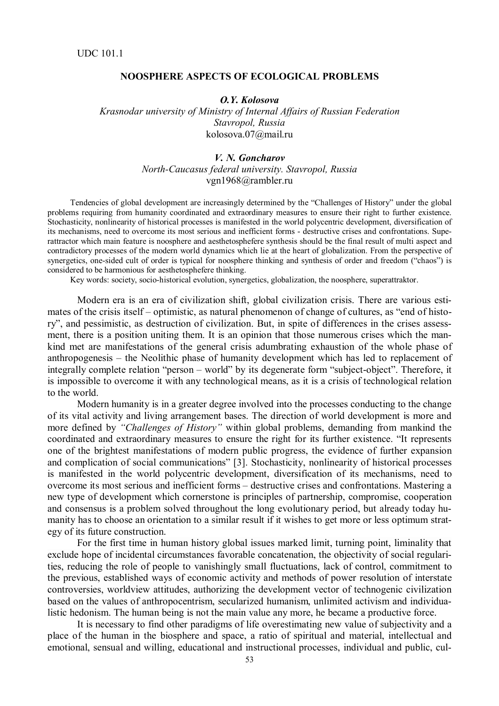## **NOOSPHERE ASPECTS OF ECOLOGICAL PROBLEMS**

*O.Y. Kolosova*

*Krasnodar university of Ministry of Internal Affairs of Russian Federation Stavropol, Russia* kolosova.07@mail.ru

## *V. N. Goncharov North-Caucasus federal university. Stavropol, Russia* vgn1968@rambler.ru

Tendencies of global development are increasingly determined by the "Challenges of History" under the global problems requiring from humanity coordinated and extraordinary measures to ensure their right to further existence. Stochasticity, nonlinearity of historical processes is manifested in the world polycentric development, diversification of its mechanisms, need to overcome its most serious and inefficient forms - destructive crises and confrontations. Superattractor which main feature is noosphere and aesthetosphefere synthesis should be the final result of multi aspect and contradictory processes of the modern world dynamics which lie at the heart of globalization. From the perspective of synergetics, one-sided cult of order is typical for noosphere thinking and synthesis of order and freedom ("chaos") is considered to be harmonious for aesthetosphefere thinking.

Key words: society, socio-historical evolution, synergetics, globalization, the noosphere, superattraktor.

Modern era is an era of civilization shift, global civilization crisis. There are various estimates of the crisis itself – optimistic, as natural phenomenon of change of cultures, as "end of history", and pessimistic, as destruction of civilization. But, in spite of differences in the crises assessment, there is a position uniting them. It is an opinion that those numerous crises which the mankind met are manifestations of the general crisis adumbrating exhaustion of the whole phase of anthropogenesis – the Neolithic phase of humanity development which has led to replacement of integrally complete relation "person – world" by its degenerate form "subject-object". Therefore, it is impossible to overcome it with any technological means, as it is a crisis of technological relation to the world.

Modern humanity is in a greater degree involved into the processes conducting to the change of its vital activity and living arrangement bases. The direction of world development is more and more defined by *"Challenges of History"* within global problems, demanding from mankind the coordinated and extraordinary measures to ensure the right for its further existence. "It represents one of the brightest manifestations of modern public progress, the evidence of further expansion and complication of social communications" [3]. Stochasticity, nonlinearity of historical processes is manifested in the world polycentric development, diversification of its mechanisms, need to overcome its most serious and inefficient forms – destructive crises and confrontations. Mastering a new type of development which cornerstone is principles of partnership, compromise, cooperation and consensus is a problem solved throughout the long evolutionary period, but already today humanity has to choose an orientation to a similar result if it wishes to get more or less optimum strategy of its future construction.

For the first time in human history global issues marked limit, turning point, liminality that exclude hope of incidental circumstances favorable concatenation, the objectivity of social regularities, reducing the role of people to vanishingly small fluctuations, lack of control, commitment to the previous, established ways of economic activity and methods of power resolution of interstate controversies, worldview attitudes, authorizing the development vector of technogenic civilization based on the values of anthropocentrism, secularized humanism, unlimited activism and individualistic hedonism. The human being is not the main value any more, he became a productive force.

It is necessary to find other paradigms of life overestimating new value of subjectivity and a place of the human in the biosphere and space, a ratio of spiritual and material, intellectual and emotional, sensual and willing, educational and instructional processes, individual and public, cul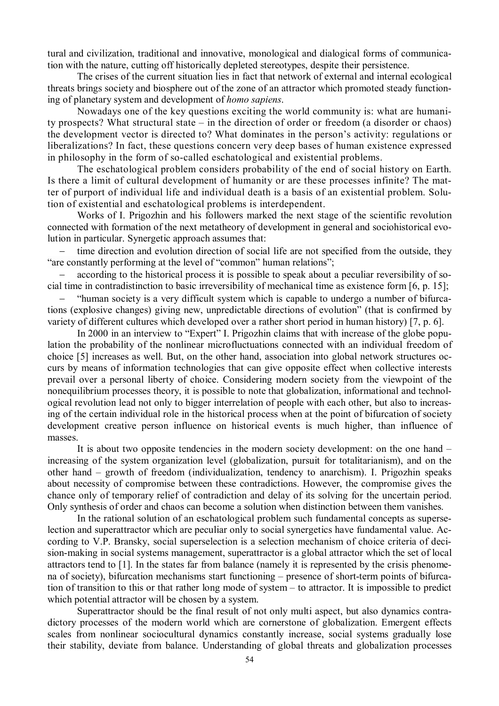tural and civilization, traditional and innovative, monological and dialogical forms of communication with the nature, cutting off historically depleted stereotypes, despite their persistence.

The crises of the current situation lies in fact that network of external and internal ecological threats brings society and biosphere out of the zone of an attractor which promoted steady functioning of planetary system and development of *homo sapiens*.

Nowadays one of the key questions exciting the world community is: what are humanity prospects? What structural state – in the direction of order or freedom (a disorder or chaos) the development vector is directed to? What dominates in the person's activity: regulations or liberalizations? In fact, these questions concern very deep bases of human existence expressed in philosophy in the form of so-called eschatological and existential problems.

The eschatological problem considers probability of the end of social history on Earth. Is there a limit of cultural development of humanity or are these processes infinite? The matter of purport of individual life and individual death is a basis of an existential problem. Solution of existential and eschatological problems is interdependent.

Works of I. Prigozhin and his followers marked the next stage of the scientific revolution connected with formation of the next metatheory of development in general and sociohistorical evolution in particular. Synergetic approach assumes that:

 time direction and evolution direction of social life are not specified from the outside, they "are constantly performing at the level of "common" human relations";

 according to the historical process it is possible to speak about a peculiar reversibility of social time in contradistinction to basic irreversibility of mechanical time as existence form [6, p. 15];

 "human society is a very difficult system which is capable to undergo a number of bifurcations (explosive changes) giving new, unpredictable directions of evolution" (that is confirmed by variety of different cultures which developed over a rather short period in human history) [7, p. 6].

In 2000 in an interview to "Expert" I. Prigozhin claims that with increase of the globe population the probability of the nonlinear microfluctuations connected with an individual freedom of choice [5] increases as well. But, on the other hand, association into global network structures occurs by means of information technologies that can give opposite effect when collective interests prevail over a personal liberty of choice. Considering modern society from the viewpoint of the nonequilibrium processes theory, it is possible to note that globalization, informational and technological revolution lead not only to bigger interrelation of people with each other, but also to increasing of the certain individual role in the historical process when at the point of bifurcation of society development creative person influence on historical events is much higher, than influence of masses.

It is about two opposite tendencies in the modern society development: on the one hand – increasing of the system organization level (globalization, pursuit for totalitarianism), and on the other hand – growth of freedom (individualization, tendency to anarchism). I. Prigozhin speaks about necessity of compromise between these contradictions. However, the compromise gives the chance only of temporary relief of contradiction and delay of its solving for the uncertain period. Only synthesis of order and chaos can become a solution when distinction between them vanishes.

In the rational solution of an eschatological problem such fundamental concepts as superselection and superattractor which are peculiar only to social synergetics have fundamental value. According to V.P. Bransky, social superselection is a selection mechanism of choice criteria of decision-making in social systems management, superattractor is a global attractor which the set of local attractors tend to [1]. In the states far from balance (namely it is represented by the crisis phenomena of society), bifurcation mechanisms start functioning – presence of short-term points of bifurcation of transition to this or that rather long mode of system – to attractor. It is impossible to predict which potential attractor will be chosen by a system.

Superattractor should be the final result of not only multi aspect, but also dynamics contradictory processes of the modern world which are cornerstone of globalization. Emergent effects scales from nonlinear sociocultural dynamics constantly increase, social systems gradually lose their stability, deviate from balance. Understanding of global threats and globalization processes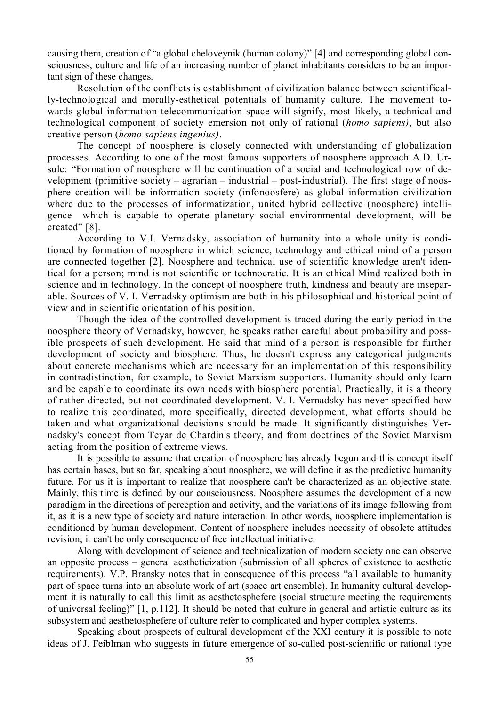causing them, creation of "a global cheloveynik (human colony)" [4] and corresponding global consciousness, culture and life of an increasing number of planet inhabitants considers to be an important sign of these changes.

Resolution of the conflicts is establishment of civilization balance between scientifically-technological and morally-esthetical potentials of humanity culture. The movement towards global information telecommunication space will signify, most likely, a technical and technological component of society emersion not only of rational (*homo sapiens)*, but also creative person (*homo sapiens ingenius)*.

The concept of noosphere is closely connected with understanding of globalization processes. According to one of the most famous supporters of noosphere approach A.D. Ursule: "Formation of noosphere will be continuation of a social and technological row of development (primitive society – agrarian – industrial – post-industrial). The first stage of noosphere creation will be information society (infonoosfere) as global information civilization where due to the processes of informatization, united hybrid collective (noosphere) intelligence which is capable to operate planetary social environmental development, will be created" [8].

According to V.I. Vernadsky, association of humanity into a whole unity is conditioned by formation of noosphere in which science, technology and ethical mind of a person are connected together [2]. Noosphere and technical use of scientific knowledge aren't identical for a person; mind is not scientific or technocratic. It is an ethical Mind realized both in science and in technology. In the concept of noosphere truth, kindness and beauty are inseparable. Sources of V. I. Vernadsky optimism are both in his philosophical and historical point of view and in scientific orientation of his position.

Though the idea of the controlled development is traced during the early period in the noosphere theory of Vernadsky, however, he speaks rather careful about probability and possible prospects of such development. He said that mind of a person is responsible for further development of society and biosphere. Thus, he doesn't express any categorical judgments about concrete mechanisms which are necessary for an implementation of this responsibility in contradistinction, for example, to Soviet Marxism supporters. Humanity should only learn and be capable to coordinate its own needs with biosphere potential. Practically, it is a theory of rather directed, but not coordinated development. V. I. Vernadsky has never specified how to realize this coordinated, more specifically, directed development, what efforts should be taken and what organizational decisions should be made. It significantly distinguishes Vernadsky's concept from Teyar de Chardin's theory, and from doctrines of the Soviet Marxism acting from the position of extreme views.

It is possible to assume that creation of noosphere has already begun and this concept itself has certain bases, but so far, speaking about noosphere, we will define it as the predictive humanity future. For us it is important to realize that noosphere can't be characterized as an objective state. Mainly, this time is defined by our consciousness. Noosphere assumes the development of a new paradigm in the directions of perception and activity, and the variations of its image following from it, as it is a new type of society and nature interaction. In other words, noosphere implementation is conditioned by human development. Content of noosphere includes necessity of obsolete attitudes revision; it can't be only consequence of free intellectual initiative.

Along with development of science and technicalization of modern society one can observe an opposite process – general aestheticization (submission of all spheres of existence to aesthetic requirements). V.P. Bransky notes that in consequence of this process "all available to humanity part of space turns into an absolute work of art (space art ensemble). In humanity cultural development it is naturally to call this limit as aesthetosphefere (social structure meeting the requirements of universal feeling)" [1, p.112]. It should be noted that culture in general and artistic culture as its subsystem and aesthetosphefere of culture refer to complicated and hyper complex systems.

Speaking about prospects of cultural development of the XXI century it is possible to note ideas of J. Feiblman who suggests in future emergence of so-called post-scientific or rational type